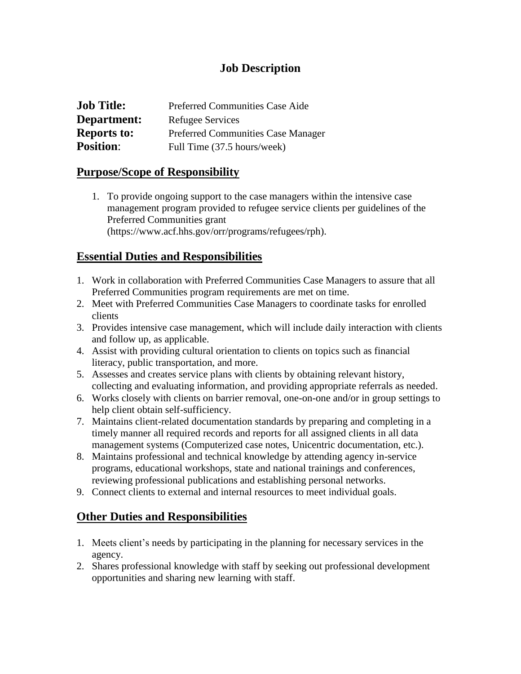#### **Job Description**

| <b>Job Title:</b>  | <b>Preferred Communities Case Aide</b>    |
|--------------------|-------------------------------------------|
| Department:        | Refugee Services                          |
| <b>Reports to:</b> | <b>Preferred Communities Case Manager</b> |
| <b>Position:</b>   | Full Time (37.5 hours/week)               |

#### **Purpose/Scope of Responsibility**

1. To provide ongoing support to the case managers within the intensive case management program provided to refugee service clients per guidelines of the Preferred Communities grant (https://www.acf.hhs.gov/orr/programs/refugees/rph).

### **Essential Duties and Responsibilities**

- 1. Work in collaboration with Preferred Communities Case Managers to assure that all Preferred Communities program requirements are met on time.
- 2. Meet with Preferred Communities Case Managers to coordinate tasks for enrolled clients
- 3. Provides intensive case management, which will include daily interaction with clients and follow up, as applicable.
- 4. Assist with providing cultural orientation to clients on topics such as financial literacy, public transportation, and more.
- 5. Assesses and creates service plans with clients by obtaining relevant history, collecting and evaluating information, and providing appropriate referrals as needed.
- 6. Works closely with clients on barrier removal, one-on-one and/or in group settings to help client obtain self-sufficiency.
- 7. Maintains client-related documentation standards by preparing and completing in a timely manner all required records and reports for all assigned clients in all data management systems (Computerized case notes, Unicentric documentation, etc.).
- 8. Maintains professional and technical knowledge by attending agency in-service programs, educational workshops, state and national trainings and conferences, reviewing professional publications and establishing personal networks.
- 9. Connect clients to external and internal resources to meet individual goals.

## **Other Duties and Responsibilities**

- 1. Meets client's needs by participating in the planning for necessary services in the agency.
- 2. Shares professional knowledge with staff by seeking out professional development opportunities and sharing new learning with staff.